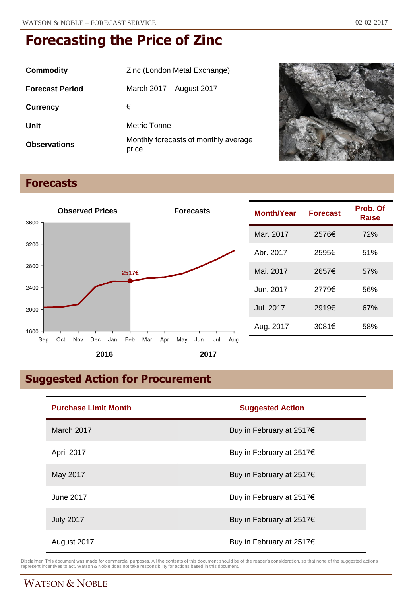| Commodity              | Zinc (London Metal Exchange)                  |
|------------------------|-----------------------------------------------|
| <b>Forecast Period</b> | March 2017 – August 2017                      |
| <b>Currency</b>        | €                                             |
| Unit                   | Metric Tonne                                  |
| <b>Observations</b>    | Monthly forecasts of monthly average<br>price |



## **Forecasts**



| Month/Year | <b>Forecast</b> | Prob. Of<br>Raise |
|------------|-----------------|-------------------|
| Mar. 2017  | 2576€           | 72%               |
| Abr. 2017  | 2595€           | 51%               |
| Mai. 2017  | 2657€           | 57%               |
| Jun. 2017  | 2779€           | 56%               |
| Jul. 2017  | 2919€           | 67%               |
| Aug. 2017  | 3081€           | 58%               |

# **Suggested Action for Procurement**

| <b>Purchase Limit Month</b> | <b>Suggested Action</b>  |
|-----------------------------|--------------------------|
| March 2017                  | Buy in February at 2517€ |
| April 2017                  | Buy in February at 2517€ |
| May 2017                    | Buy in February at 2517€ |
| June 2017                   | Buy in February at 2517€ |
| <b>July 2017</b>            | Buy in February at 2517€ |
| August 2017                 | Buy in February at 2517€ |

Disclaimer: This document was made for commercial purposes. All the contents of this document should be of the reader's consideration, so that none of the suggested actions<br>represent incentives to act. Watson & Noble does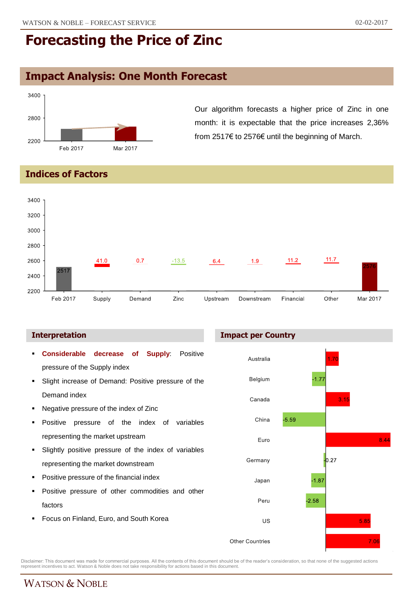## **Impact Analysis: One Month Forecast**



Our algorithm forecasts a higher price of Zinc in one month: it is expectable that the price increases 2,36% from 2517€ to 2576€ until the beginning of March.

**Indices of Factors**



**Impact per Country**

#### **Interpretation**



Disclaimer: This document was made for commercial purposes. All the contents of this document should be of the reader's consideration, so that none of the suggested actions<br>represent incentives to act. Watson & Noble does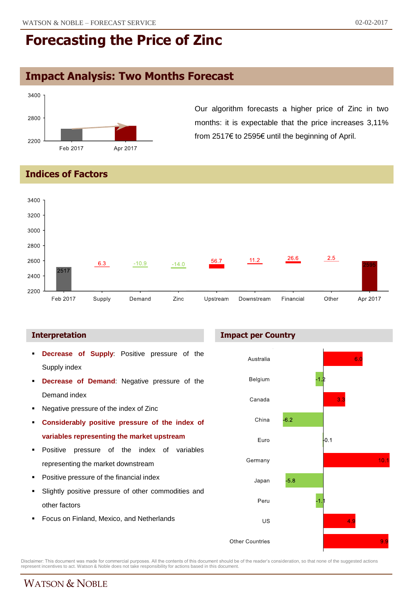## **Impact Analysis: Two Months Forecast**



Our algorithm forecasts a higher price of Zinc in two months: it is expectable that the price increases 3,11% from 2517€ to 2595€ until the beginning of April.

**Indices of Factors**



- **Decrease of Supply**: Positive pressure of the Supply index
- **Decrease of Demand**: Negative pressure of the Demand index
- Negative pressure of the index of Zinc
- **Considerably positive pressure of the index of variables representing the market upstream**
- **Positive pressure of the index of variables** representing the market downstream
- Positive pressure of the financial index
- Slightly positive pressure of other commodities and other factors
- Focus on Finland, Mexico, and Netherlands





Disclaimer: This document was made for commercial purposes. All the contents of this document should be of the reader's consideration, so that none of the suggested actions<br>represent incentives to act. Watson & Noble does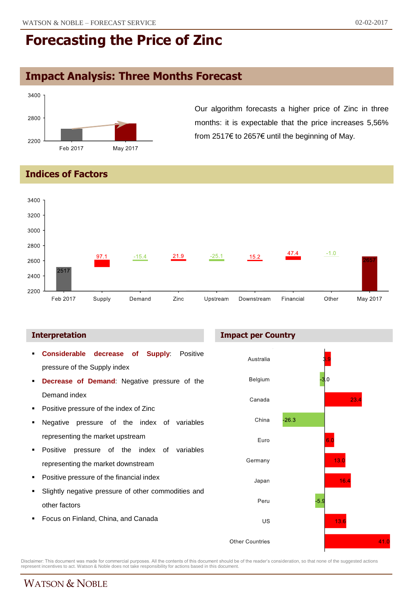# **Impact Analysis: Three Months Forecast**



Our algorithm forecasts a higher price of Zinc in three months: it is expectable that the price increases 5,56% from 2517€ to 2657€ until the beginning of May.

**Indices of Factors**



#### **Interpretation Impact per Country**

 **Considerable decrease of Supply**: Positive Australia pressure of the Supply index Belgium **Decrease of Demand**: Negative pressure of the Demand index Canada  $23.4$  Positive pressure of the index of Zinc  $-26.3$ China Negative pressure of the index of variables representing the market upstream Euro **Positive pressure of the index of variables**  $13<sub>c</sub>$ Germany representing the market downstream Positive pressure of the financial index  $16.4$ Japan Slightly negative pressure of other commodities and  $-5.$ Peru other factors Focus on Finland, China, and Canada US  $13.6$  $41.0$ **Other Countries** 

Disclaimer: This document was made for commercial purposes. All the contents of this document should be of the reader's consideration, so that none of the suggested actions<br>represent incentives to act. Watson & Noble does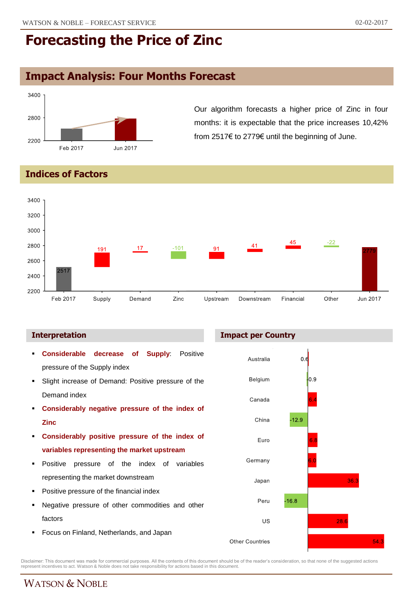## **Impact Analysis: Four Months Forecast**



Our algorithm forecasts a higher price of Zinc in four months: it is expectable that the price increases 10,42% from 2517€ to 2779€ until the beginning of June.

#### **Indices of Factors**



#### **Interpretation Impact per Country**



Disclaimer: This document was made for commercial purposes. All the contents of this document should be of the reader's consideration, so that none of the suggested actions<br>represent incentives to act. Watson & Noble does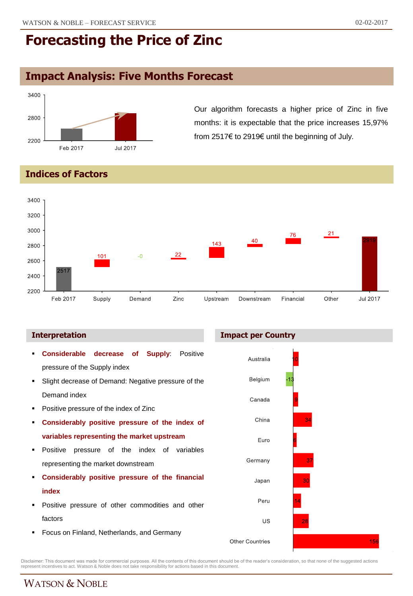## **Impact Analysis: Five Months Forecast**



Our algorithm forecasts a higher price of Zinc in five months: it is expectable that the price increases 15,97% from 2517€ to 2919€ until the beginning of July.

#### **Indices of Factors**



#### **Interpretation Impact per Country**



Disclaimer: This document was made for commercial purposes. All the contents of this document should be of the reader's consideration, so that none of the suggested actions<br>represent incentives to act. Watson & Noble does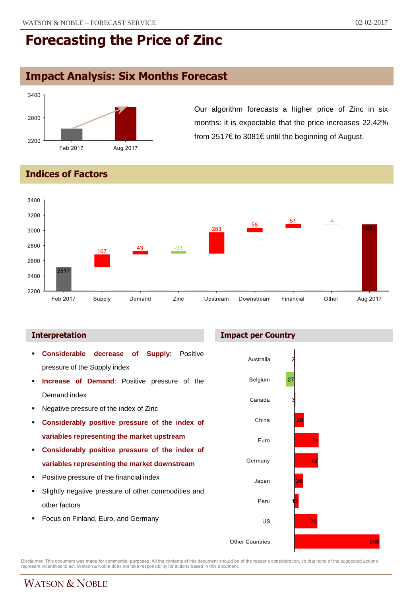## **Impact Analysis: Six Months Forecast**



Our algorithm forecasts a higher price of Zinc in six months: it is expectable that the price increases 22,42% from 2517€ to 3081€ until the beginning of August.

#### **Indices of Factors**



#### **Interpretation Impact per Country**



Disclaimer: This document was made for commercial purposes. All the contents of this document should be of the reader's consideration, so that none of the suggested actions<br>represent incentives to act. Watson & Noble does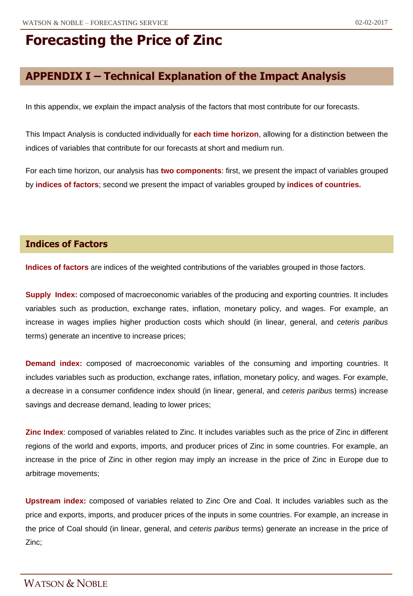## **APPENDIX I – Technical Explanation of the Impact Analysis**

In this appendix, we explain the impact analysis of the factors that most contribute for our forecasts.

This Impact Analysis is conducted individually for **each time horizon**, allowing for a distinction between the indices of variables that contribute for our forecasts at short and medium run.

For each time horizon, our analysis has **two components**: first, we present the impact of variables grouped by **indices of factors**; second we present the impact of variables grouped by **indices of countries.**

#### **Indices of Factors**

**Indices of factors** are indices of the weighted contributions of the variables grouped in those factors.

**Supply Index:** composed of macroeconomic variables of the producing and exporting countries. It includes variables such as production, exchange rates, inflation, monetary policy, and wages. For example, an increase in wages implies higher production costs which should (in linear, general, and *ceteris paribus* terms) generate an incentive to increase prices;

**Demand index:** composed of macroeconomic variables of the consuming and importing countries. It includes variables such as production, exchange rates, inflation, monetary policy, and wages. For example, a decrease in a consumer confidence index should (in linear, general, and *ceteris paribus* terms) increase savings and decrease demand, leading to lower prices;

**Zinc Index**: composed of variables related to Zinc. It includes variables such as the price of Zinc in different regions of the world and exports, imports, and producer prices of Zinc in some countries. For example, an increase in the price of Zinc in other region may imply an increase in the price of Zinc in Europe due to arbitrage movements;

**Upstream index:** composed of variables related to Zinc Ore and Coal. It includes variables such as the price and exports, imports, and producer prices of the inputs in some countries. For example, an increase in the price of Coal should (in linear, general, and *ceteris paribus* terms) generate an increase in the price of Zinc;